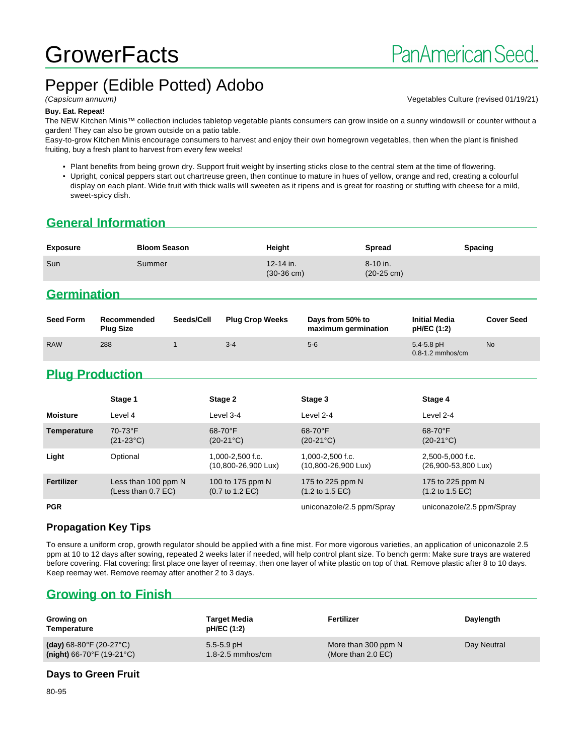# **GrowerFacts**

# Pepper (Edible Potted) Adobo

(Capsicum annuum) Vegetables Culture (revised 01/19/21)

#### **Buy. Eat. Repeat!**

The NEW Kitchen Minis™ collection includes tabletop vegetable plants consumers can grow inside on a sunny windowsill or counter without a garden! They can also be grown outside on a patio table.

Easy-to-grow Kitchen Minis encourage consumers to harvest and enjoy their own homegrown vegetables, then when the plant is finished fruiting, buy a fresh plant to harvest from every few weeks!

- Plant benefits from being grown dry. Support fruit weight by inserting sticks close to the central stem at the time of flowering.
- Upright, conical peppers start out chartreuse green, then continue to mature in hues of yellow, orange and red, creating a colourful display on each plant. Wide fruit with thick walls will sweeten as it ripens and is great for roasting or stuffing with cheese for a mild, sweet-spicy dish.

#### **General Information**

| <b>Exposure</b> | <b>Bloom Season</b> | Height                                | <b>Spread</b>                    | <b>Spacing</b> |
|-----------------|---------------------|---------------------------------------|----------------------------------|----------------|
| Sun             | Summer              | $12 - 14$ in.<br>$(30-36 \text{ cm})$ | 8-10 in.<br>$(20-25 \text{ cm})$ |                |
| $\sim$          |                     |                                       |                                  |                |

## **Germination**

| <b>Seed Form</b> | Recommended<br><b>Plug Size</b> | Seeds/Cell | <b>Plug Crop Weeks</b> | Days from 50% to<br>maximum germination | <b>Initial Media</b><br>pH/EC (1:2)    | <b>Cover Seed</b> |
|------------------|---------------------------------|------------|------------------------|-----------------------------------------|----------------------------------------|-------------------|
| <b>RAW</b>       | 288                             |            | $3 - 4$                | $5-6$                                   | $5.4 - 5.8$ pH<br>$0.8 - 1.2$ mmhos/cm | <b>No</b>         |

# **Plug Production**

|                   | Stage 1                                     | Stage 2                                                | Stage 3                                                 | Stage 4                                                |
|-------------------|---------------------------------------------|--------------------------------------------------------|---------------------------------------------------------|--------------------------------------------------------|
| <b>Moisture</b>   | Level 4                                     | Level 3-4                                              | Level 2-4                                               | Level 2-4                                              |
| Temperature       | 70-73°F<br>$(21-23°C)$                      | 68-70°F<br>$(20-21^{\circ}C)$                          | 68-70°F<br>$(20-21^{\circ}C)$                           | $68-70$ °F<br>$(20-21^{\circ}C)$                       |
| Light             | Optional                                    | $1.000 - 2.500$ f.c.<br>(10,800-26,900 Lux)            | $1.000 - 2.500$ f.c.<br>$(10,800 - 26,900 \text{ Lux})$ | 2,500-5,000 f.c.<br>(26,900-53,800 Lux)                |
| <b>Fertilizer</b> | Less than 100 ppm N<br>(Less than $0.7$ EC) | 100 to 175 ppm N<br>$(0.7 \text{ to } 1.2 \text{ EC})$ | 175 to 225 ppm N<br>$(1.2 \text{ to } 1.5 \text{ EC})$  | 175 to 225 ppm N<br>$(1.2 \text{ to } 1.5 \text{ EC})$ |
| <b>PGR</b>        |                                             |                                                        | uniconazole/2.5 ppm/Spray                               | uniconazole/2.5 ppm/Spray                              |

#### **Propagation Key Tips**

To ensure a uniform crop, growth regulator should be applied with a fine mist. For more vigorous varieties, an application of uniconazole 2.5 ppm at 10 to 12 days after sowing, repeated 2 weeks later if needed, will help control plant size. To bench germ: Make sure trays are watered before covering. Flat covering: first place one layer of reemay, then one layer of white plastic on top of that. Remove plastic after 8 to 10 days. Keep reemay wet. Remove reemay after another 2 to 3 days.

# **Growing on to Finish**

| Growing on<br>Temperature                    | <b>Target Media</b><br>pH/EC (1:2) | Fertilizer                    | Daylength   |
|----------------------------------------------|------------------------------------|-------------------------------|-------------|
| (day) $68-80^{\circ}$ F (20-27 $^{\circ}$ C) | $5.5 - 5.9$ pH                     | More than 300 ppm N           | Day Neutral |
| $(night)$ 66-70°F (19-21°C)                  | $1.8 - 2.5$ mmhos/cm               | (More than $2.0 \text{ EC}$ ) |             |

#### **Days to Green Fruit**

80-95